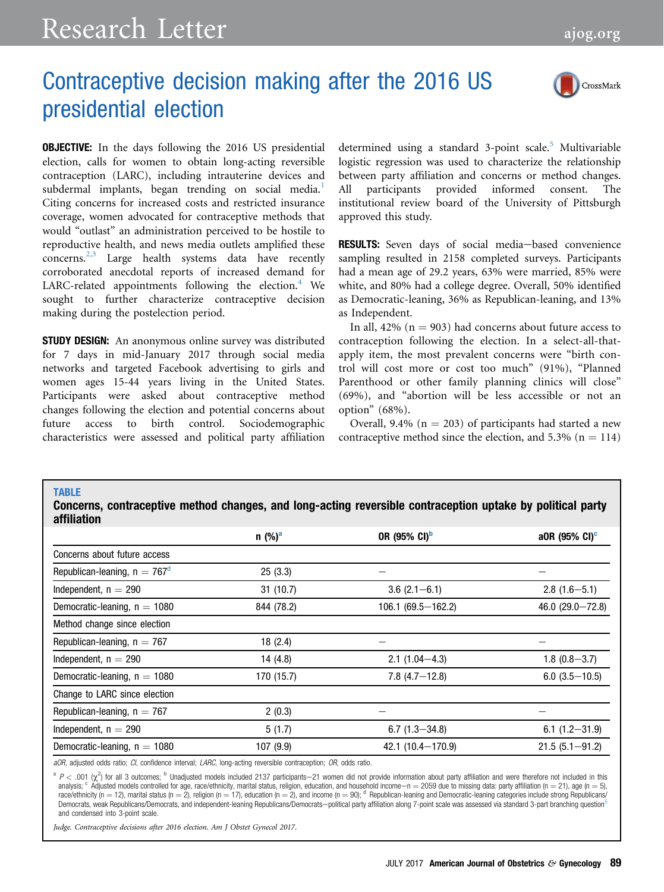## <span id="page-0-0"></span>Research Letter [ajog.org](http://www.AJOG.org)

## Contraceptive decision making after the 2016 US presidential election



OBJECTIVE: In the days following the 2016 US presidential election, calls for women to obtain long-acting reversible contraception (LARC), including intrauterine devices and subdermal implants, began trending on social media.<sup>[1](#page-1-0)</sup> Citing concerns for increased costs and restricted insurance coverage, women advocated for contraceptive methods that would "outlast" an administration perceived to be hostile to reproductive health, and news media outlets amplified these concerns.<sup>[2,3](#page-1-0)</sup> Large health systems data have recently corroborated anecdotal reports of increased demand for LARC-related appointments following the election. $4$  We sought to further characterize contraceptive decision making during the postelection period.

**STUDY DESIGN:** An anonymous online survey was distributed for 7 days in mid-January 2017 through social media networks and targeted Facebook advertising to girls and women ages 15-44 years living in the United States. Participants were asked about contraceptive method changes following the election and potential concerns about future access to birth control. Sociodemographic characteristics were assessed and political party affiliation

TABLE

determined using a standard 3-point scale.<sup>[5](#page-1-0)</sup> Multivariable logistic regression was used to characterize the relationship between party affiliation and concerns or method changes. All participants provided informed consent. The institutional review board of the University of Pittsburgh approved this study.

RESULTS: Seven days of social media-based convenience sampling resulted in 2158 completed surveys. Participants had a mean age of 29.2 years, 63% were married, 85% were white, and 80% had a college degree. Overall, 50% identified as Democratic-leaning, 36% as Republican-leaning, and 13% as Independent.

In all,  $42\%$  (n = 903) had concerns about future access to contraception following the election. In a select-all-thatapply item, the most prevalent concerns were "birth control will cost more or cost too much" (91%), "Planned Parenthood or other family planning clinics will close" (69%), and "abortion will be less accessible or not an option" (68%).

Overall, 9.4% ( $n = 203$ ) of participants had started a new contraceptive method since the election, and  $5.3\%$  (n = 114)

| affiliation                     |                      |                          |                           |
|---------------------------------|----------------------|--------------------------|---------------------------|
|                                 | $n$ (%) <sup>a</sup> | OR (95% CI) <sup>b</sup> | a0R (95% CI) <sup>c</sup> |
| Concerns about future access    |                      |                          |                           |
| Republican-leaning, $n = 767^d$ | 25(3.3)              |                          |                           |
| Independent, $n = 290$          | 31(10.7)             | $3.6(2.1 - 6.1)$         | $2.8(1.6 - 5.1)$          |
| Democratic-leaning, $n = 1080$  | 844 (78.2)           | $106.1 (69.5 - 162.2)$   | 46.0 $(29.0 - 72.8)$      |
| Method change since election    |                      |                          |                           |
| Republican-leaning, $n = 767$   | 18(2.4)              |                          |                           |
| Independent, $n = 290$          | 14(4.8)              | $2.1(1.04 - 4.3)$        | $1.8(0.8 - 3.7)$          |
| Democratic-leaning, $n = 1080$  | 170 (15.7)           | $7.8(4.7 - 12.8)$        | $6.0$ (3.5 $-10.5$ )      |
| Change to LARC since election   |                      |                          |                           |
| Republican-leaning, $n = 767$   | 2(0.3)               |                          |                           |
| Independent, $n = 290$          | 5(1.7)               | $6.7(1.3 - 34.8)$        | $6.1(1.2 - 31.9)$         |
| Democratic-leaning, $n = 1080$  | 107(9.9)             | 42.1 (10.4 - 170.9)      | $21.5(5.1 - 91.2)$        |

Concerns, contraceptive method changes, and long-acting reversible contraception uptake by political party

aOR, adjusted odds ratio; CI, confidence interval; LARC, long-acting reversible contraception; OR, odds ratio.

 $a \, P < 0.01$  ( $\chi^2$ ) for all 3 outcomes; b Unadjusted models included 2137 participants-21 women did not provide information about party affiliation and were therefore not included in this analysis;  $c$  Adjusted models controlled for age, race/ethnicity, marital status, religion, education, and household income-n = 2059 due to missing data: party affiliation (n = 21), age (n = 5), race/ethnicity (n = 12), marital status (n = 2), religion (n = 17), education (n = 2), and income (n = 90); d Republican-leaning and Democratic-leaning categories include strong Republicans/ Democrats, weak Republicans/Democrats, and independent-leaning Republicans/Democrats-political party affiliation along 7-point scale was assessed via standard 3-part branching question<sup>[5](#page-1-0)</sup> and condensed into 3-point scale.

Judge. Contraceptive decisions after 2016 election. Am J Obstet Gynecol 2017.